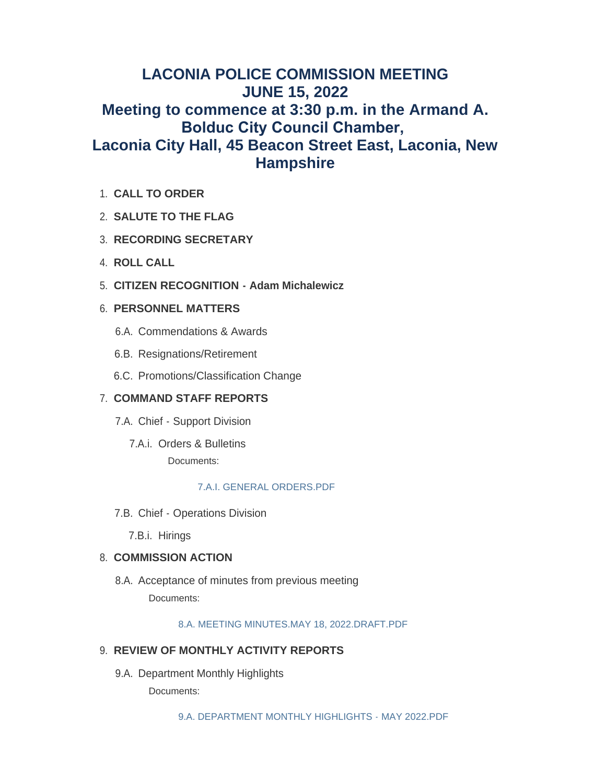# **LACONIA POLICE COMMISSION MEETING JUNE 15, 2022 Meeting to commence at 3:30 p.m. in the Armand A. Bolduc City Council Chamber, Laconia City Hall, 45 Beacon Street East, Laconia, New Hampshire**

- **CALL TO ORDER** 1.
- **SALUTE TO THE FLAG** 2.
- **RECORDING SECRETARY** 3.
- **ROLL CALL** 4.
- **CITIZEN RECOGNITION Adam Michalewicz** 5.

# **PERSONNEL MATTERS** 6.

- 6.A. Commendations & Awards
- 6.B. Resignations/Retirement
- 6.C. Promotions/Classification Change

# **COMMAND STAFF REPORTS** 7.

- 7.A. Chief Support Division
	- 7.A.i. Orders & Bulletins Documents:

# [7.A.I. GENERAL ORDERS.PDF](https://www.laconianh.gov/AgendaCenter/ViewFile/Item/21094?fileID=43646)

7.B. Chief - Operations Division

7.B.i. Hirings

# 8. COMMISSION ACTION

8.A. Acceptance of minutes from previous meeting Documents:

[8.A. MEETING MINUTES.MAY 18, 2022.DRAFT.PDF](https://www.laconianh.gov/AgendaCenter/ViewFile/Item/21095?fileID=43647)

# **REVIEW OF MONTHLY ACTIVITY REPORTS** 9.

9.A. Department Monthly Highlights Documents: